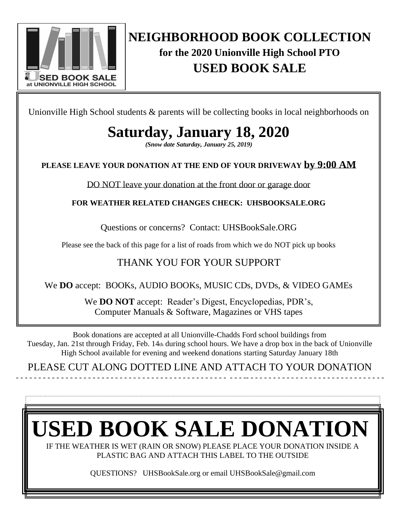

### **NEIGHBORHOOD BOOK COLLECTION for the 2020 Unionville High School PTO USED BOOK SALE**

<u>Used Book Sale</u>

Unionville High School students & parents will be collecting books in local neighborhoods on

## **Saturday, January 18, 2020**

*(Snow date Saturday, January 25, 2019)*

### **PLEASE LEAVE YOUR DONATION AT THE END OF YOUR DRIVEWAY by 9:00 AM**

DO NOT leave your donation at the front door or garage door

**FOR WEATHER RELATED CHANGES CHECK: UHSBOOKSALE.ORG**

Questions or concerns? Contact: [UHSBookSale.ORG](mailto:UHSBookSale@gmail.com)

Please see the back of this page for a list of roads from which we do NOT pick up books

### THANK YOU FOR YOUR SUPPORT

We **DO** accept: BOOKs, AUDIO BOOKs, MUSIC CDs, DVDs, & VIDEO GAMEs

We **DO NOT** accept:Reader's Digest, Encyclopedias, PDR's, Computer Manuals & Software, Magazines or VHS tapes

Book donations are accepted at all Unionville-Chadds Ford school buildings from Tuesday, Jan. 21st through Friday, Feb. 14th during school hours. We have a drop box in the back of Unionville High School available for evening and weekend donations starting Saturday January 18th

PLEASE CUT ALONG DOTTED LINE AND ATTACH TO YOUR DONATION - - - - - - - - - - - - - - - - - - - - - - - - - - - - - - - - - - - - - - - - - - - - - - - - - - -- - - - - - - - - - - - - - - - - - - - - - - - - - - - - - -



IF THE WEATHER IS WET (RAIN OR SNOW) PLEASE PLACE YOUR DONATION INSIDE A PLASTIC BAG AND ATTACH THIS LABEL TO THE OUTSIDE

QUESTIONS? UHSBookSale.org or email UHSBookSale@gmail.com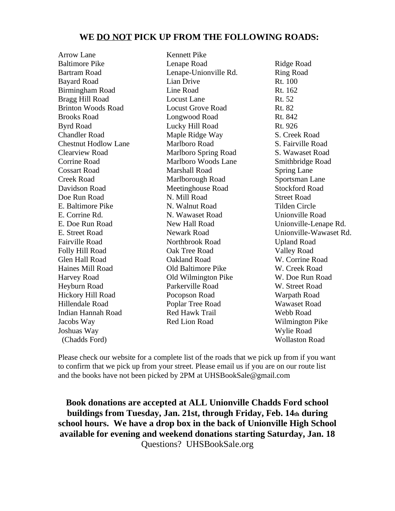#### **WE DO NOT PICK UP FROM THE FOLLOWING ROADS:**

Arrow Lane Baltimore Pike Bartram Road Bayard Road Birmingham Road Bragg Hill Road Brinton Woods Road Brooks Road Byrd Road Chandler Road Chestnut Hodlow Lane Clearview Road Corrine Road Cossart Road Creek Road Davidson Road Doe Run Road E. Baltimore Pike E. Corrine Rd. E. Doe Run Road E. Street Road Fairville Road Folly Hill Road Glen Hall Road Haines Mill Road Harvey Road Heyburn Road Hickory Hill Road Hillendale Road Indian Hannah Road Jacobs Way Joshuas Way (Chadds Ford)

Kennett Pike Lenape Road Lenape-Unionville Rd. Lian Drive Line Road Locust Lane Locust Grove Road Longwood Road Lucky Hill Road Maple Ridge Way Marlboro Road Marlboro Spring Road Marlboro Woods Lane Marshall Road Marlborough Road Meetinghouse Road N. Mill Road N. Walnut Road N. Wawaset Road New Hall Road Newark Road Northbrook Road Oak Tree Road Oakland Road Old Baltimore Pike Old Wilmington Pike Parkerville Road Pocopson Road Poplar Tree Road Red Hawk Trail Red Lion Road

Ridge Road Ring Road Rt. 100 Rt. 162 Rt. 52 Rt. 82 Rt. 842 Rt. 926 S. Creek Road S. Fairville Road S. Wawaset Road Smithbridge Road Spring Lane Sportsman Lane Stockford Road Street Road Tilden Circle Unionville Road Unionville-Lenape Rd. Unionville-Wawaset Rd. Upland Road Valley Road W. Corrine Road W. Creek Road W. Doe Run Road W. Street Road Warpath Road Wawaset Road Webb Road Wilmington Pike Wylie Road Wollaston Road

Please check our website for a complete list of the roads that we pick up from if you want to confirm that we pick up from your street. Please email us if you are on our route list and the books have not been picked by 2PM at UHSBookSale@gmail.com

**Book donations are accepted at ALL Unionville Chadds Ford school buildings from Tuesday, Jan. 21st, through Friday, Feb. 14th during school hours. We have a drop box in the back of Unionville High School available for evening and weekend donations starting Saturday, Jan. 18** Questions? UHSBookSale.org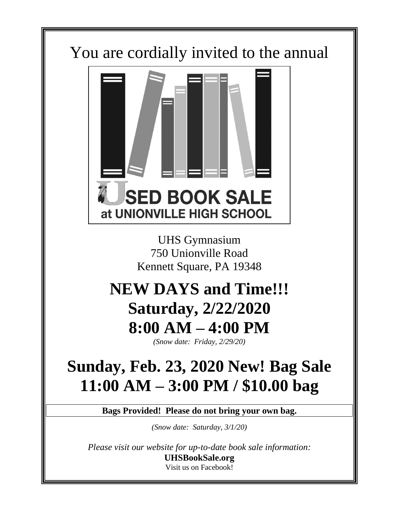## You are cordially invited to the annual



UHS Gymnasium 750 Unionville Road Kennett Square, PA 19348

# **NEW DAYS and Time!!! Saturday, 2/22/2020 8:00 AM – 4:00 PM**

*(Snow date: Friday, 2/29/20)*

# **Sunday, Feb. 23, 2020 New! Bag Sale 11:00 AM – 3:00 PM / \$10.00 bag**

**Bags Provided! Please do not bring your own bag.**

*(Snow date: Saturday, 3/1/20)*

*Please visit our website for up-to-date book sale information:* **UHSBookSale.org** Visit us on Facebook!